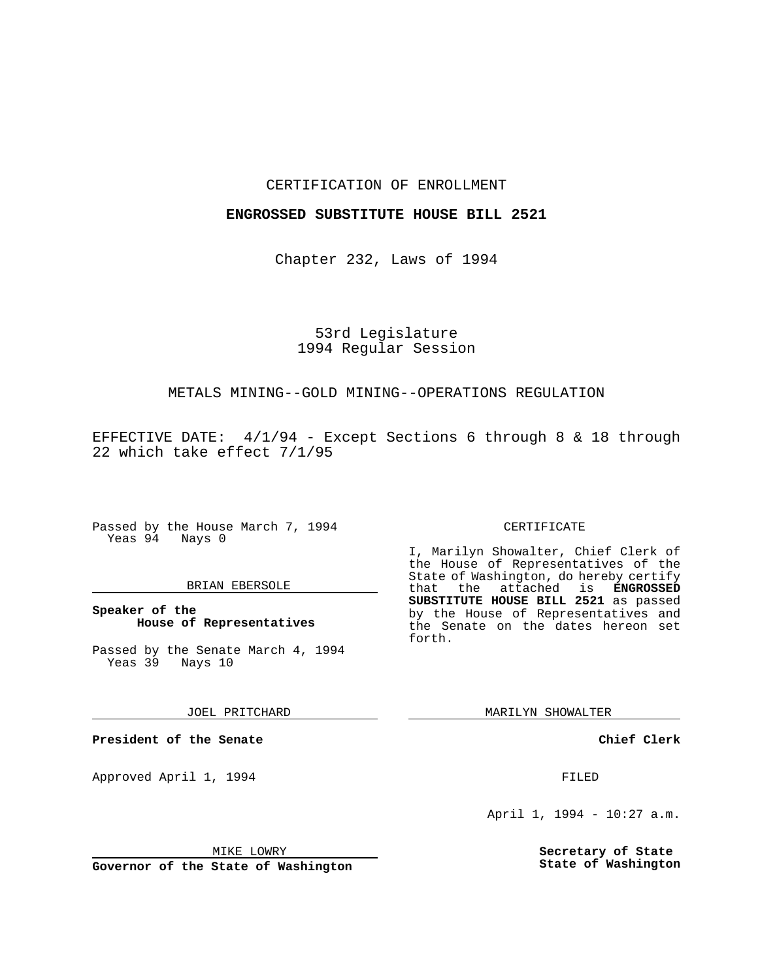### CERTIFICATION OF ENROLLMENT

### **ENGROSSED SUBSTITUTE HOUSE BILL 2521**

Chapter 232, Laws of 1994

# 53rd Legislature 1994 Regular Session

## METALS MINING--GOLD MINING--OPERATIONS REGULATION

EFFECTIVE DATE: 4/1/94 - Except Sections 6 through 8 & 18 through 22 which take effect 7/1/95

Passed by the House March 7, 1994 Yeas 94 Nays 0

### BRIAN EBERSOLE

**Speaker of the House of Representatives**

Passed by the Senate March 4, 1994 Yeas 39 Nays 10

JOEL PRITCHARD

**President of the Senate**

Approved April 1, 1994 **FILED** 

#### MIKE LOWRY

**Governor of the State of Washington**

#### CERTIFICATE

I, Marilyn Showalter, Chief Clerk of the House of Representatives of the State of Washington, do hereby certify that the attached is **ENGROSSED SUBSTITUTE HOUSE BILL 2521** as passed by the House of Representatives and the Senate on the dates hereon set forth.

MARILYN SHOWALTER

**Chief Clerk**

April 1, 1994 - 10:27 a.m.

**Secretary of State State of Washington**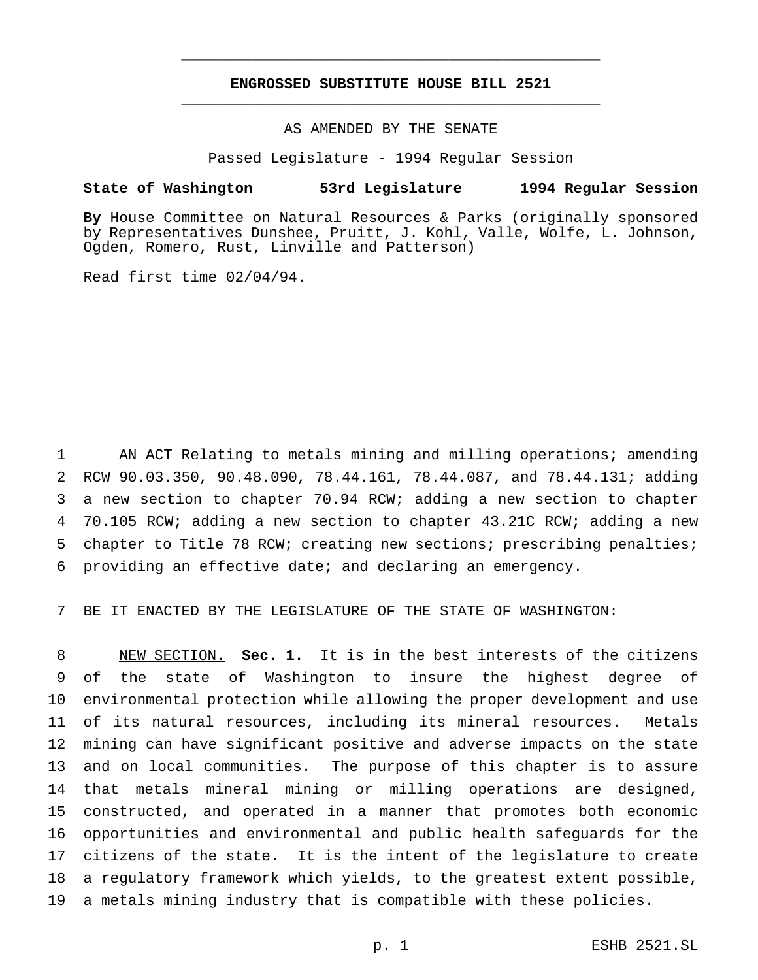# **ENGROSSED SUBSTITUTE HOUSE BILL 2521** \_\_\_\_\_\_\_\_\_\_\_\_\_\_\_\_\_\_\_\_\_\_\_\_\_\_\_\_\_\_\_\_\_\_\_\_\_\_\_\_\_\_\_\_\_\_\_

\_\_\_\_\_\_\_\_\_\_\_\_\_\_\_\_\_\_\_\_\_\_\_\_\_\_\_\_\_\_\_\_\_\_\_\_\_\_\_\_\_\_\_\_\_\_\_

## AS AMENDED BY THE SENATE

Passed Legislature - 1994 Regular Session

### **State of Washington 53rd Legislature 1994 Regular Session**

**By** House Committee on Natural Resources & Parks (originally sponsored by Representatives Dunshee, Pruitt, J. Kohl, Valle, Wolfe, L. Johnson, Ogden, Romero, Rust, Linville and Patterson)

Read first time 02/04/94.

 AN ACT Relating to metals mining and milling operations; amending RCW 90.03.350, 90.48.090, 78.44.161, 78.44.087, and 78.44.131; adding a new section to chapter 70.94 RCW; adding a new section to chapter 70.105 RCW; adding a new section to chapter 43.21C RCW; adding a new chapter to Title 78 RCW; creating new sections; prescribing penalties; providing an effective date; and declaring an emergency.

BE IT ENACTED BY THE LEGISLATURE OF THE STATE OF WASHINGTON:

 NEW SECTION. **Sec. 1.** It is in the best interests of the citizens of the state of Washington to insure the highest degree of environmental protection while allowing the proper development and use of its natural resources, including its mineral resources. Metals mining can have significant positive and adverse impacts on the state and on local communities. The purpose of this chapter is to assure that metals mineral mining or milling operations are designed, constructed, and operated in a manner that promotes both economic opportunities and environmental and public health safeguards for the citizens of the state. It is the intent of the legislature to create a regulatory framework which yields, to the greatest extent possible, a metals mining industry that is compatible with these policies.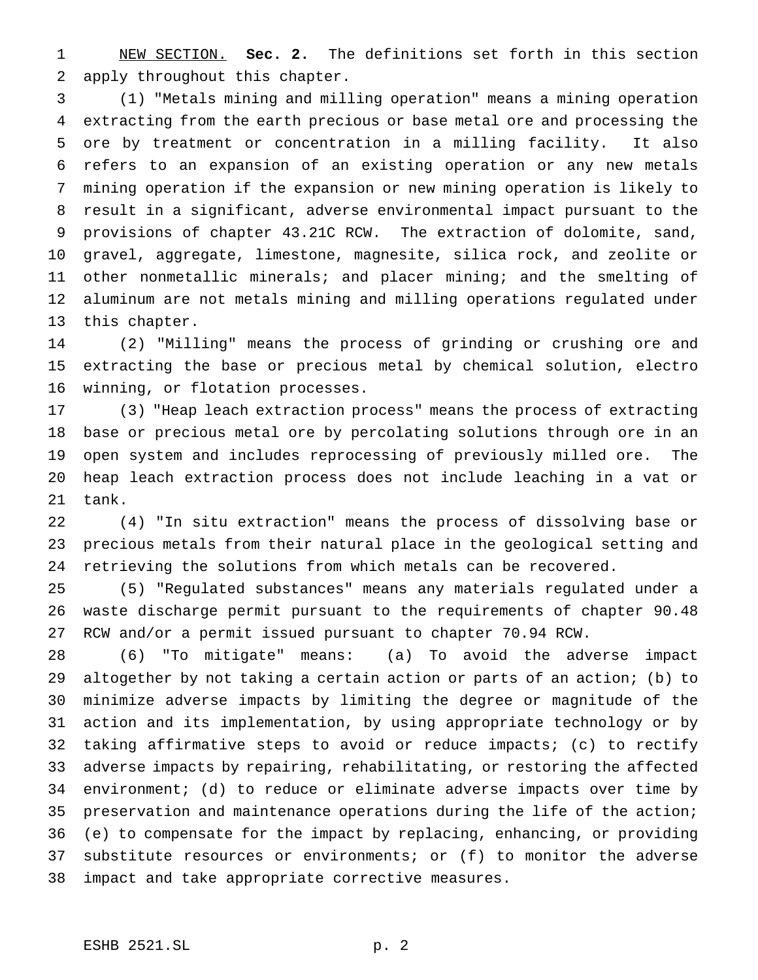NEW SECTION. **Sec. 2.** The definitions set forth in this section apply throughout this chapter.

 (1) "Metals mining and milling operation" means a mining operation extracting from the earth precious or base metal ore and processing the ore by treatment or concentration in a milling facility. It also refers to an expansion of an existing operation or any new metals mining operation if the expansion or new mining operation is likely to result in a significant, adverse environmental impact pursuant to the provisions of chapter 43.21C RCW. The extraction of dolomite, sand, gravel, aggregate, limestone, magnesite, silica rock, and zeolite or other nonmetallic minerals; and placer mining; and the smelting of aluminum are not metals mining and milling operations regulated under this chapter.

 (2) "Milling" means the process of grinding or crushing ore and extracting the base or precious metal by chemical solution, electro winning, or flotation processes.

 (3) "Heap leach extraction process" means the process of extracting base or precious metal ore by percolating solutions through ore in an open system and includes reprocessing of previously milled ore. The heap leach extraction process does not include leaching in a vat or tank.

 (4) "In situ extraction" means the process of dissolving base or precious metals from their natural place in the geological setting and retrieving the solutions from which metals can be recovered.

 (5) "Regulated substances" means any materials regulated under a waste discharge permit pursuant to the requirements of chapter 90.48 RCW and/or a permit issued pursuant to chapter 70.94 RCW.

 (6) "To mitigate" means: (a) To avoid the adverse impact altogether by not taking a certain action or parts of an action; (b) to minimize adverse impacts by limiting the degree or magnitude of the action and its implementation, by using appropriate technology or by taking affirmative steps to avoid or reduce impacts; (c) to rectify adverse impacts by repairing, rehabilitating, or restoring the affected environment; (d) to reduce or eliminate adverse impacts over time by preservation and maintenance operations during the life of the action; (e) to compensate for the impact by replacing, enhancing, or providing substitute resources or environments; or (f) to monitor the adverse impact and take appropriate corrective measures.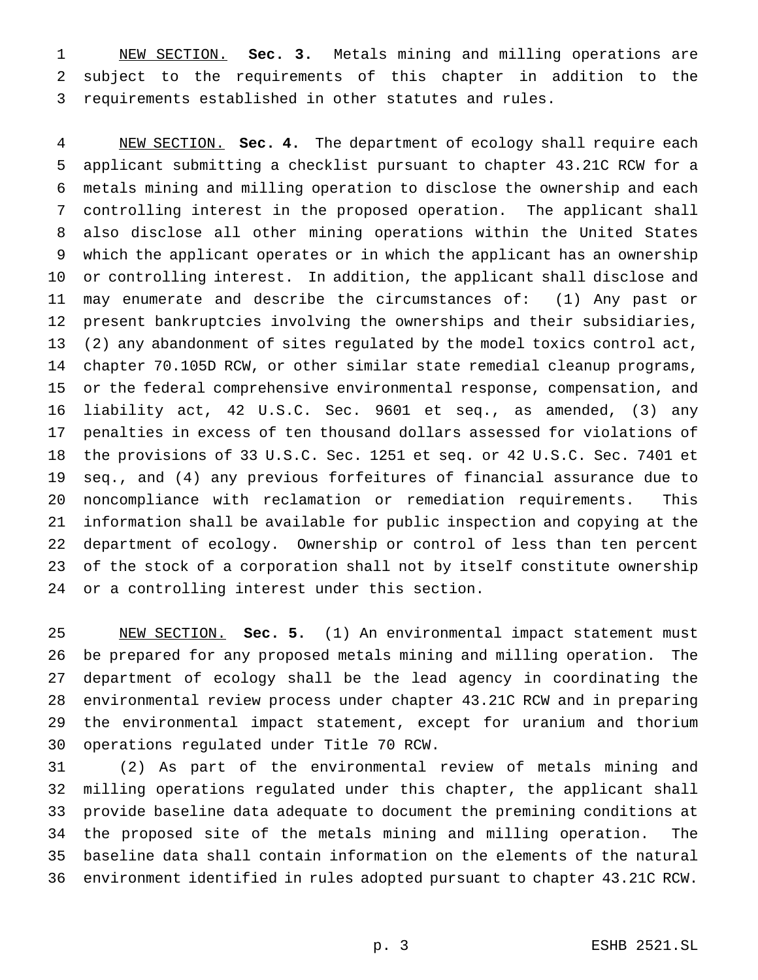NEW SECTION. **Sec. 3.** Metals mining and milling operations are subject to the requirements of this chapter in addition to the requirements established in other statutes and rules.

 NEW SECTION. **Sec. 4.** The department of ecology shall require each applicant submitting a checklist pursuant to chapter 43.21C RCW for a metals mining and milling operation to disclose the ownership and each controlling interest in the proposed operation. The applicant shall also disclose all other mining operations within the United States which the applicant operates or in which the applicant has an ownership or controlling interest. In addition, the applicant shall disclose and may enumerate and describe the circumstances of: (1) Any past or present bankruptcies involving the ownerships and their subsidiaries, (2) any abandonment of sites regulated by the model toxics control act, chapter 70.105D RCW, or other similar state remedial cleanup programs, or the federal comprehensive environmental response, compensation, and liability act, 42 U.S.C. Sec. 9601 et seq., as amended, (3) any penalties in excess of ten thousand dollars assessed for violations of the provisions of 33 U.S.C. Sec. 1251 et seq. or 42 U.S.C. Sec. 7401 et seq., and (4) any previous forfeitures of financial assurance due to noncompliance with reclamation or remediation requirements. This information shall be available for public inspection and copying at the department of ecology. Ownership or control of less than ten percent of the stock of a corporation shall not by itself constitute ownership or a controlling interest under this section.

 NEW SECTION. **Sec. 5.** (1) An environmental impact statement must be prepared for any proposed metals mining and milling operation. The department of ecology shall be the lead agency in coordinating the environmental review process under chapter 43.21C RCW and in preparing the environmental impact statement, except for uranium and thorium operations regulated under Title 70 RCW.

 (2) As part of the environmental review of metals mining and milling operations regulated under this chapter, the applicant shall provide baseline data adequate to document the premining conditions at the proposed site of the metals mining and milling operation. The baseline data shall contain information on the elements of the natural environment identified in rules adopted pursuant to chapter 43.21C RCW.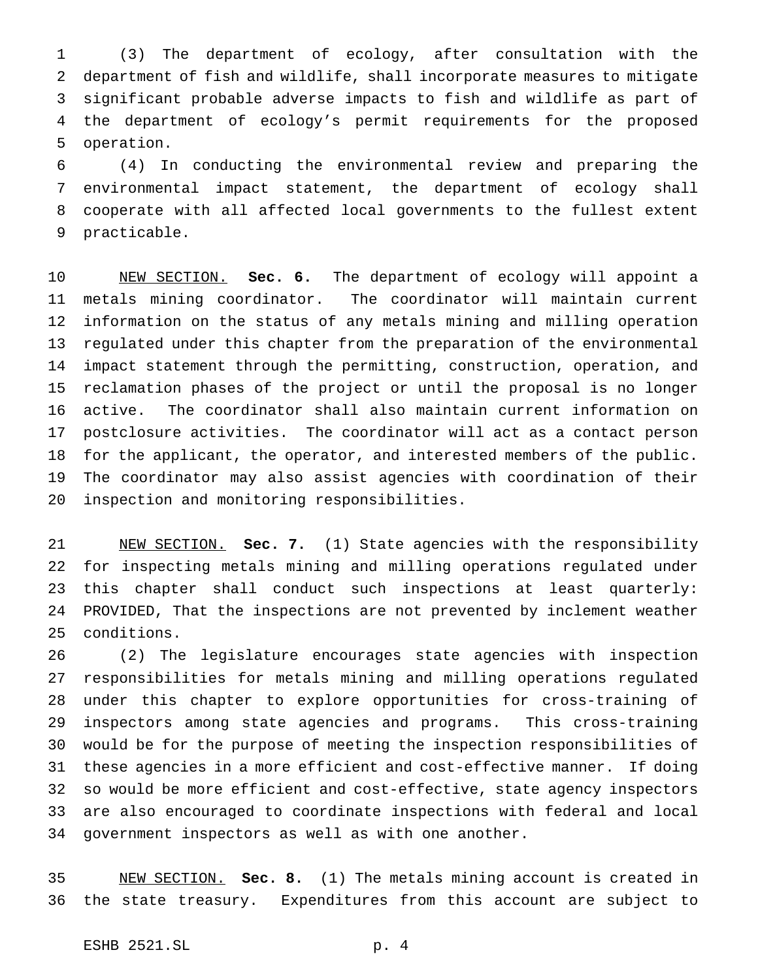(3) The department of ecology, after consultation with the department of fish and wildlife, shall incorporate measures to mitigate significant probable adverse impacts to fish and wildlife as part of the department of ecology's permit requirements for the proposed operation.

 (4) In conducting the environmental review and preparing the environmental impact statement, the department of ecology shall cooperate with all affected local governments to the fullest extent practicable.

 NEW SECTION. **Sec. 6.** The department of ecology will appoint a metals mining coordinator. The coordinator will maintain current information on the status of any metals mining and milling operation regulated under this chapter from the preparation of the environmental impact statement through the permitting, construction, operation, and reclamation phases of the project or until the proposal is no longer active. The coordinator shall also maintain current information on postclosure activities. The coordinator will act as a contact person for the applicant, the operator, and interested members of the public. The coordinator may also assist agencies with coordination of their inspection and monitoring responsibilities.

 NEW SECTION. **Sec. 7.** (1) State agencies with the responsibility for inspecting metals mining and milling operations regulated under this chapter shall conduct such inspections at least quarterly: PROVIDED, That the inspections are not prevented by inclement weather conditions.

 (2) The legislature encourages state agencies with inspection responsibilities for metals mining and milling operations regulated under this chapter to explore opportunities for cross-training of inspectors among state agencies and programs. This cross-training would be for the purpose of meeting the inspection responsibilities of these agencies in a more efficient and cost-effective manner. If doing so would be more efficient and cost-effective, state agency inspectors are also encouraged to coordinate inspections with federal and local government inspectors as well as with one another.

 NEW SECTION. **Sec. 8.** (1) The metals mining account is created in the state treasury. Expenditures from this account are subject to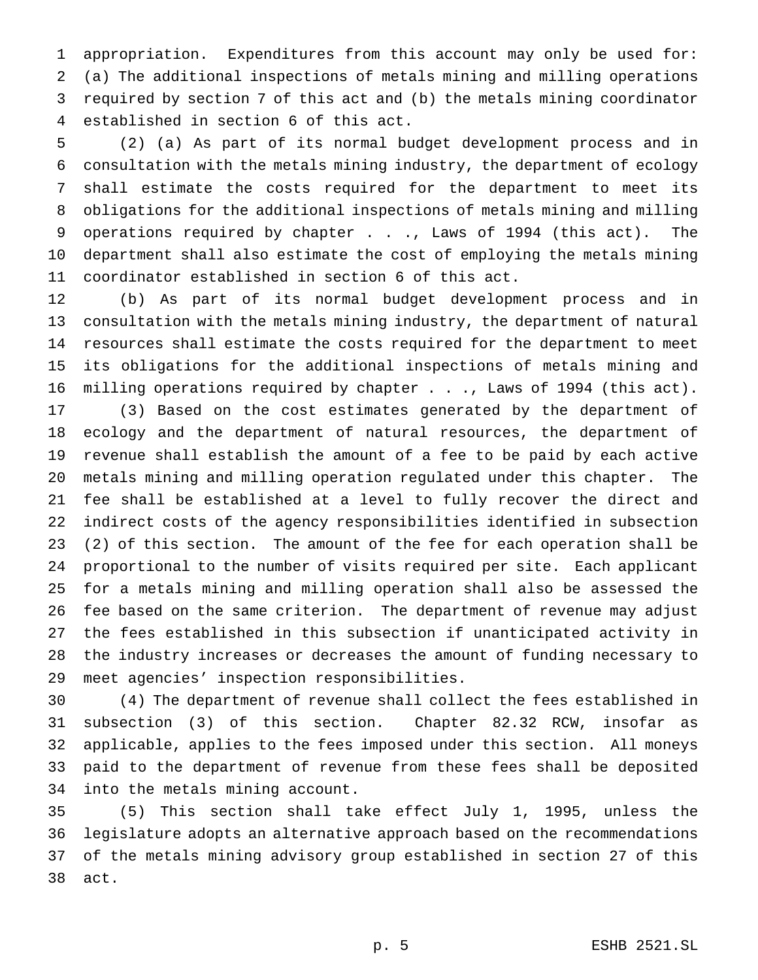appropriation. Expenditures from this account may only be used for: (a) The additional inspections of metals mining and milling operations required by section 7 of this act and (b) the metals mining coordinator established in section 6 of this act.

 (2) (a) As part of its normal budget development process and in consultation with the metals mining industry, the department of ecology shall estimate the costs required for the department to meet its obligations for the additional inspections of metals mining and milling 9 operations required by chapter . . ., Laws of 1994 (this act). The department shall also estimate the cost of employing the metals mining coordinator established in section 6 of this act.

 (b) As part of its normal budget development process and in consultation with the metals mining industry, the department of natural resources shall estimate the costs required for the department to meet its obligations for the additional inspections of metals mining and milling operations required by chapter . . ., Laws of 1994 (this act).

 (3) Based on the cost estimates generated by the department of ecology and the department of natural resources, the department of revenue shall establish the amount of a fee to be paid by each active metals mining and milling operation regulated under this chapter. The fee shall be established at a level to fully recover the direct and indirect costs of the agency responsibilities identified in subsection (2) of this section. The amount of the fee for each operation shall be proportional to the number of visits required per site. Each applicant for a metals mining and milling operation shall also be assessed the fee based on the same criterion. The department of revenue may adjust the fees established in this subsection if unanticipated activity in the industry increases or decreases the amount of funding necessary to meet agencies' inspection responsibilities.

 (4) The department of revenue shall collect the fees established in subsection (3) of this section. Chapter 82.32 RCW, insofar as applicable, applies to the fees imposed under this section. All moneys paid to the department of revenue from these fees shall be deposited into the metals mining account.

 (5) This section shall take effect July 1, 1995, unless the legislature adopts an alternative approach based on the recommendations of the metals mining advisory group established in section 27 of this act.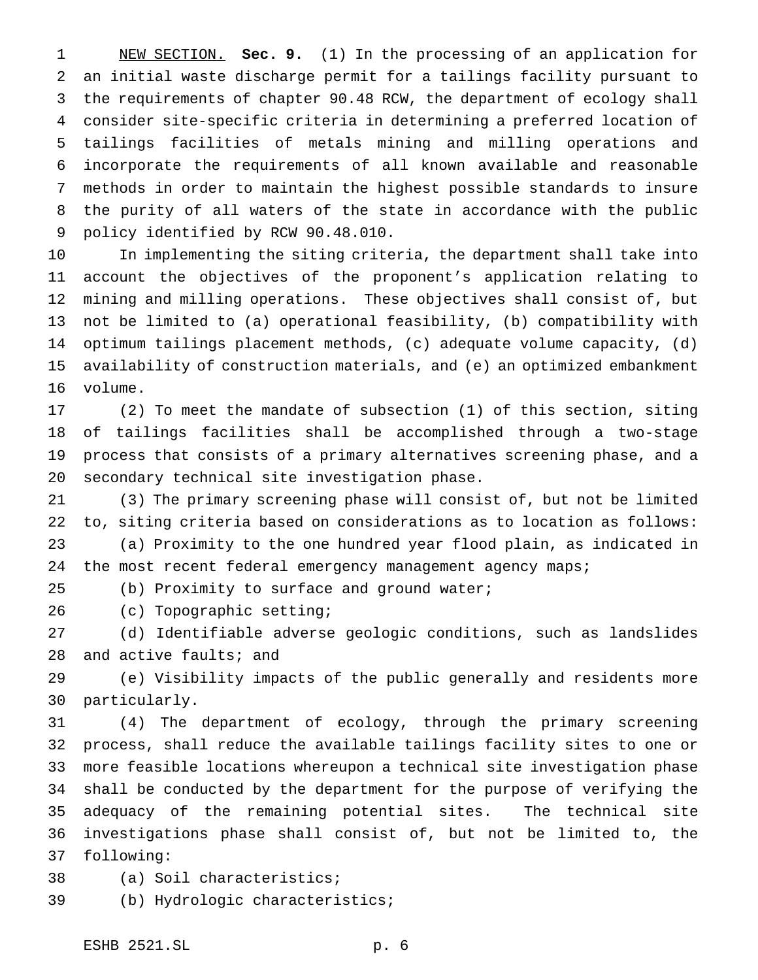NEW SECTION. **Sec. 9.** (1) In the processing of an application for an initial waste discharge permit for a tailings facility pursuant to the requirements of chapter 90.48 RCW, the department of ecology shall consider site-specific criteria in determining a preferred location of tailings facilities of metals mining and milling operations and incorporate the requirements of all known available and reasonable methods in order to maintain the highest possible standards to insure the purity of all waters of the state in accordance with the public policy identified by RCW 90.48.010.

 In implementing the siting criteria, the department shall take into account the objectives of the proponent's application relating to mining and milling operations. These objectives shall consist of, but not be limited to (a) operational feasibility, (b) compatibility with optimum tailings placement methods, (c) adequate volume capacity, (d) availability of construction materials, and (e) an optimized embankment volume.

 (2) To meet the mandate of subsection (1) of this section, siting of tailings facilities shall be accomplished through a two-stage process that consists of a primary alternatives screening phase, and a secondary technical site investigation phase.

 (3) The primary screening phase will consist of, but not be limited to, siting criteria based on considerations as to location as follows: (a) Proximity to the one hundred year flood plain, as indicated in 24 the most recent federal emergency management agency maps;

(b) Proximity to surface and ground water;

(c) Topographic setting;

 (d) Identifiable adverse geologic conditions, such as landslides 28 and active faults; and

 (e) Visibility impacts of the public generally and residents more particularly.

 (4) The department of ecology, through the primary screening process, shall reduce the available tailings facility sites to one or more feasible locations whereupon a technical site investigation phase shall be conducted by the department for the purpose of verifying the adequacy of the remaining potential sites. The technical site investigations phase shall consist of, but not be limited to, the following:

(a) Soil characteristics;

(b) Hydrologic characteristics;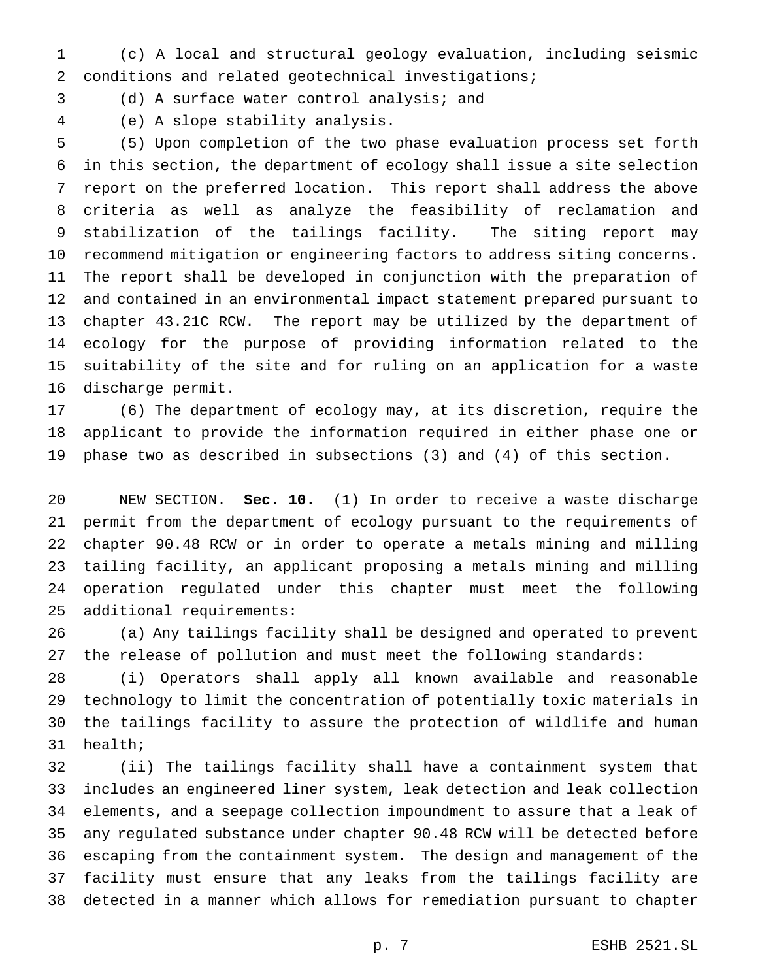(c) A local and structural geology evaluation, including seismic conditions and related geotechnical investigations;

(d) A surface water control analysis; and

(e) A slope stability analysis.

 (5) Upon completion of the two phase evaluation process set forth in this section, the department of ecology shall issue a site selection report on the preferred location. This report shall address the above criteria as well as analyze the feasibility of reclamation and stabilization of the tailings facility. The siting report may recommend mitigation or engineering factors to address siting concerns. The report shall be developed in conjunction with the preparation of and contained in an environmental impact statement prepared pursuant to chapter 43.21C RCW. The report may be utilized by the department of ecology for the purpose of providing information related to the suitability of the site and for ruling on an application for a waste discharge permit.

 (6) The department of ecology may, at its discretion, require the applicant to provide the information required in either phase one or phase two as described in subsections (3) and (4) of this section.

 NEW SECTION. **Sec. 10.** (1) In order to receive a waste discharge permit from the department of ecology pursuant to the requirements of chapter 90.48 RCW or in order to operate a metals mining and milling tailing facility, an applicant proposing a metals mining and milling operation regulated under this chapter must meet the following additional requirements:

 (a) Any tailings facility shall be designed and operated to prevent the release of pollution and must meet the following standards:

 (i) Operators shall apply all known available and reasonable technology to limit the concentration of potentially toxic materials in the tailings facility to assure the protection of wildlife and human health;

 (ii) The tailings facility shall have a containment system that includes an engineered liner system, leak detection and leak collection elements, and a seepage collection impoundment to assure that a leak of any regulated substance under chapter 90.48 RCW will be detected before escaping from the containment system. The design and management of the facility must ensure that any leaks from the tailings facility are detected in a manner which allows for remediation pursuant to chapter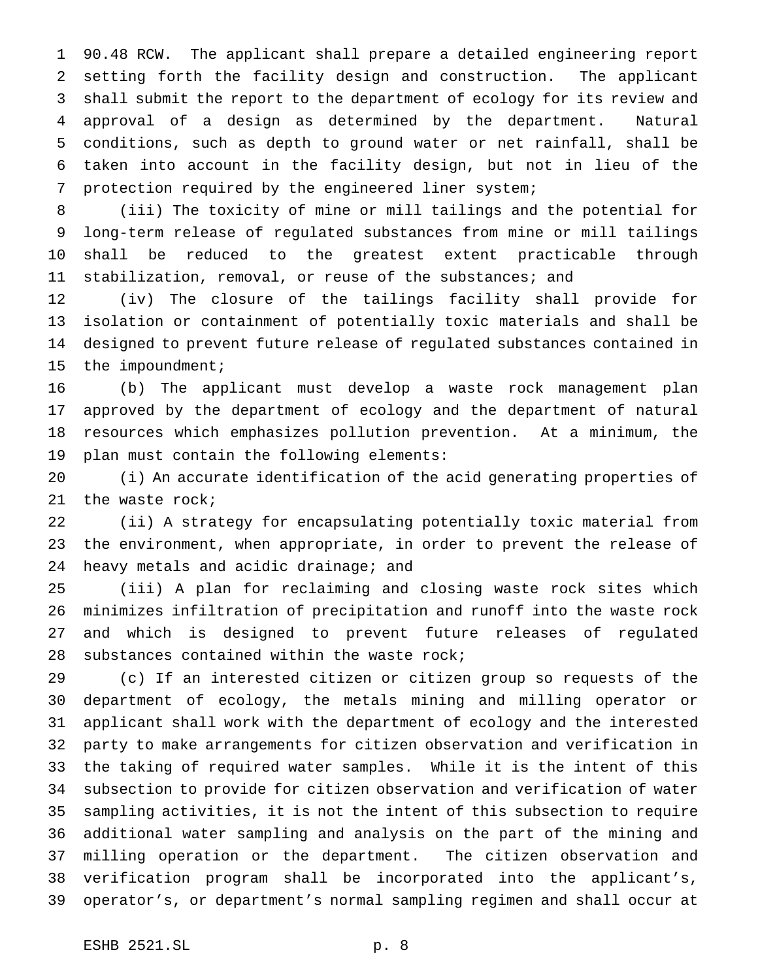90.48 RCW. The applicant shall prepare a detailed engineering report setting forth the facility design and construction. The applicant shall submit the report to the department of ecology for its review and approval of a design as determined by the department. Natural conditions, such as depth to ground water or net rainfall, shall be taken into account in the facility design, but not in lieu of the protection required by the engineered liner system;

 (iii) The toxicity of mine or mill tailings and the potential for long-term release of regulated substances from mine or mill tailings shall be reduced to the greatest extent practicable through stabilization, removal, or reuse of the substances; and

 (iv) The closure of the tailings facility shall provide for isolation or containment of potentially toxic materials and shall be designed to prevent future release of regulated substances contained in 15 the impoundment;

 (b) The applicant must develop a waste rock management plan approved by the department of ecology and the department of natural resources which emphasizes pollution prevention. At a minimum, the plan must contain the following elements:

 (i) An accurate identification of the acid generating properties of the waste rock;

 (ii) A strategy for encapsulating potentially toxic material from the environment, when appropriate, in order to prevent the release of 24 heavy metals and acidic drainage; and

 (iii) A plan for reclaiming and closing waste rock sites which minimizes infiltration of precipitation and runoff into the waste rock and which is designed to prevent future releases of regulated substances contained within the waste rock;

 (c) If an interested citizen or citizen group so requests of the department of ecology, the metals mining and milling operator or applicant shall work with the department of ecology and the interested party to make arrangements for citizen observation and verification in the taking of required water samples. While it is the intent of this subsection to provide for citizen observation and verification of water sampling activities, it is not the intent of this subsection to require additional water sampling and analysis on the part of the mining and milling operation or the department. The citizen observation and verification program shall be incorporated into the applicant's, operator's, or department's normal sampling regimen and shall occur at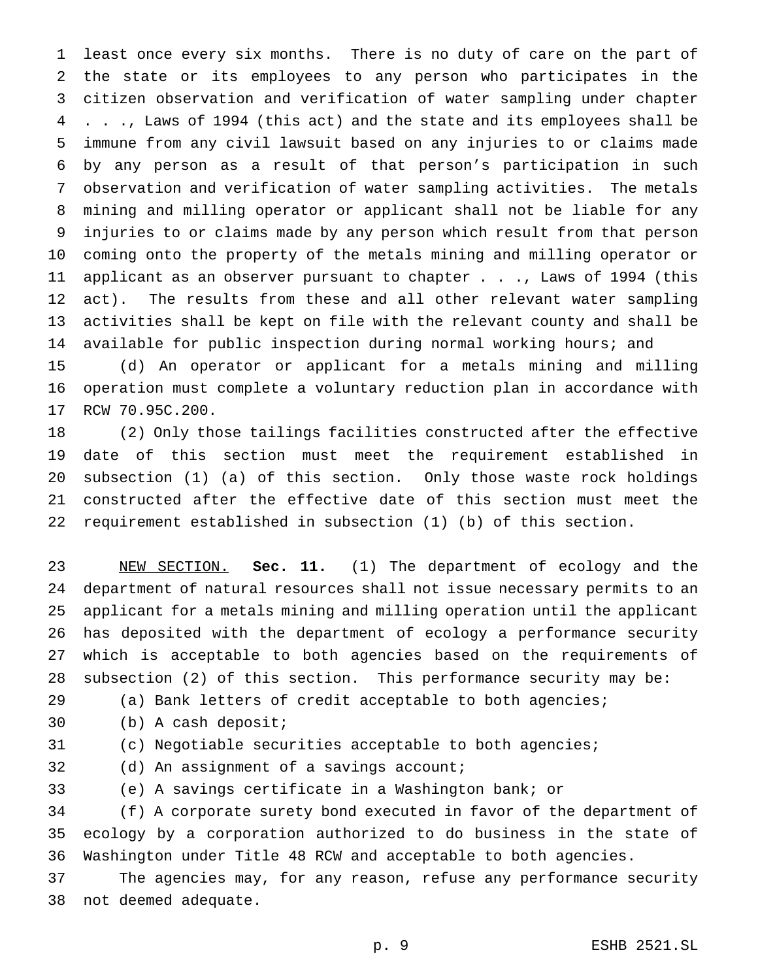least once every six months. There is no duty of care on the part of the state or its employees to any person who participates in the citizen observation and verification of water sampling under chapter . . ., Laws of 1994 (this act) and the state and its employees shall be immune from any civil lawsuit based on any injuries to or claims made by any person as a result of that person's participation in such observation and verification of water sampling activities. The metals mining and milling operator or applicant shall not be liable for any injuries to or claims made by any person which result from that person coming onto the property of the metals mining and milling operator or applicant as an observer pursuant to chapter . . ., Laws of 1994 (this 12 act). The results from these and all other relevant water sampling activities shall be kept on file with the relevant county and shall be available for public inspection during normal working hours; and

 (d) An operator or applicant for a metals mining and milling operation must complete a voluntary reduction plan in accordance with RCW 70.95C.200.

 (2) Only those tailings facilities constructed after the effective date of this section must meet the requirement established in subsection (1) (a) of this section. Only those waste rock holdings constructed after the effective date of this section must meet the requirement established in subsection (1) (b) of this section.

 NEW SECTION. **Sec. 11.** (1) The department of ecology and the department of natural resources shall not issue necessary permits to an applicant for a metals mining and milling operation until the applicant has deposited with the department of ecology a performance security which is acceptable to both agencies based on the requirements of subsection (2) of this section. This performance security may be:

(a) Bank letters of credit acceptable to both agencies;

(b) A cash deposit;

(c) Negotiable securities acceptable to both agencies;

(d) An assignment of a savings account;

(e) A savings certificate in a Washington bank; or

 (f) A corporate surety bond executed in favor of the department of ecology by a corporation authorized to do business in the state of Washington under Title 48 RCW and acceptable to both agencies.

 The agencies may, for any reason, refuse any performance security not deemed adequate.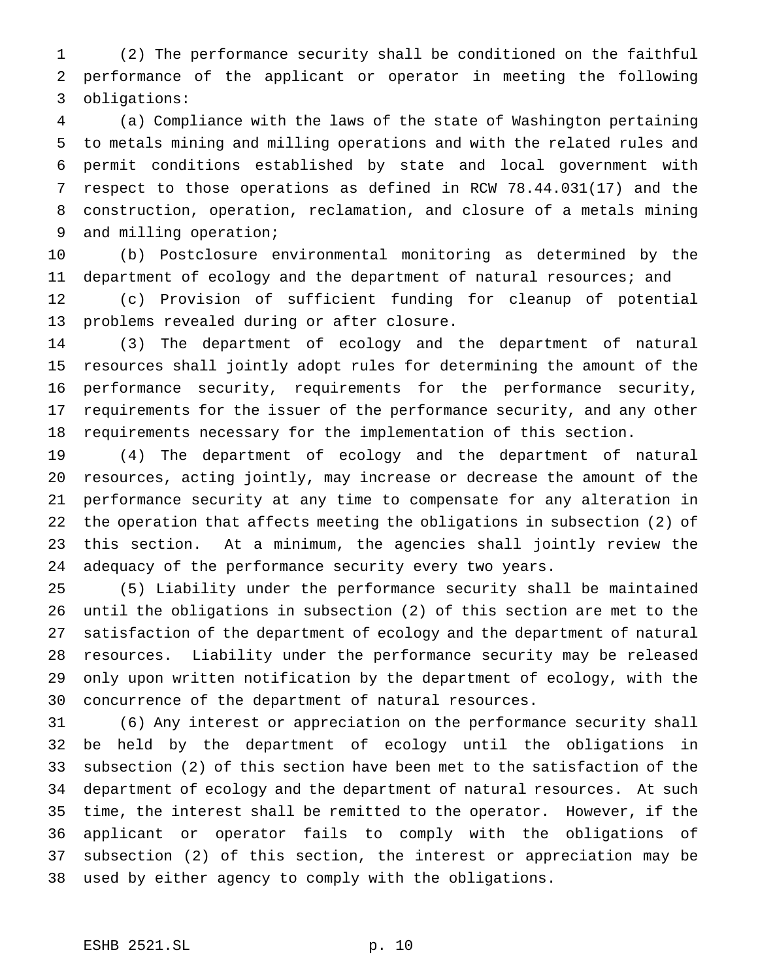(2) The performance security shall be conditioned on the faithful performance of the applicant or operator in meeting the following obligations:

 (a) Compliance with the laws of the state of Washington pertaining to metals mining and milling operations and with the related rules and permit conditions established by state and local government with respect to those operations as defined in RCW 78.44.031(17) and the construction, operation, reclamation, and closure of a metals mining and milling operation;

 (b) Postclosure environmental monitoring as determined by the 11 department of ecology and the department of natural resources; and

 (c) Provision of sufficient funding for cleanup of potential problems revealed during or after closure.

 (3) The department of ecology and the department of natural resources shall jointly adopt rules for determining the amount of the performance security, requirements for the performance security, requirements for the issuer of the performance security, and any other requirements necessary for the implementation of this section.

 (4) The department of ecology and the department of natural resources, acting jointly, may increase or decrease the amount of the performance security at any time to compensate for any alteration in the operation that affects meeting the obligations in subsection (2) of this section. At a minimum, the agencies shall jointly review the adequacy of the performance security every two years.

 (5) Liability under the performance security shall be maintained until the obligations in subsection (2) of this section are met to the satisfaction of the department of ecology and the department of natural resources. Liability under the performance security may be released only upon written notification by the department of ecology, with the concurrence of the department of natural resources.

 (6) Any interest or appreciation on the performance security shall be held by the department of ecology until the obligations in subsection (2) of this section have been met to the satisfaction of the department of ecology and the department of natural resources. At such time, the interest shall be remitted to the operator. However, if the applicant or operator fails to comply with the obligations of subsection (2) of this section, the interest or appreciation may be used by either agency to comply with the obligations.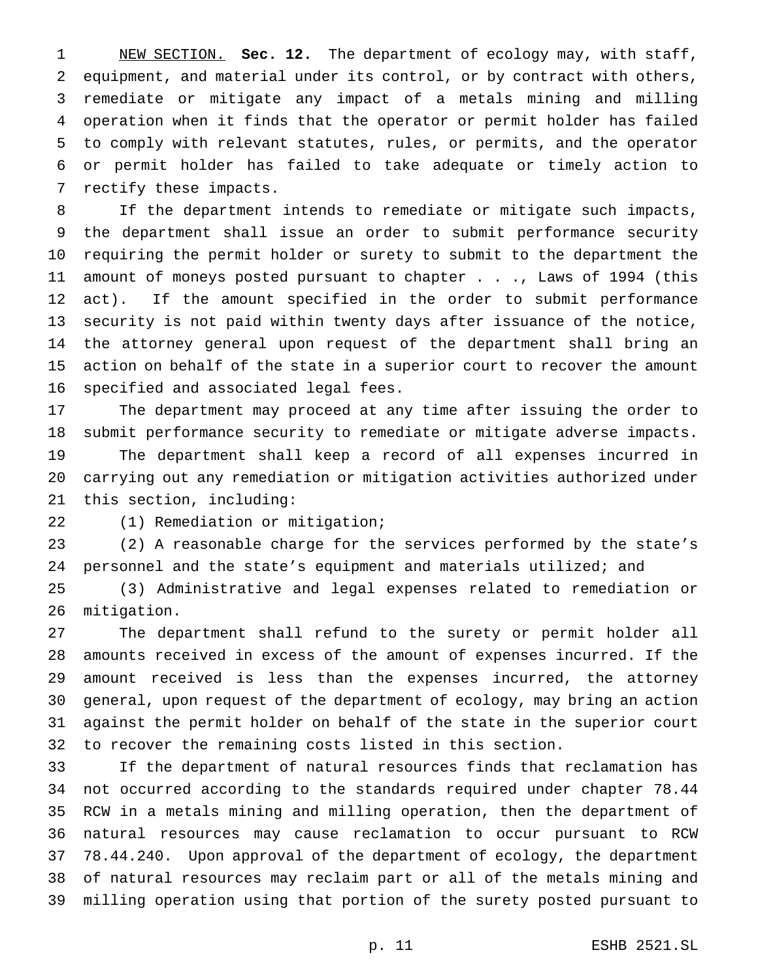NEW SECTION. **Sec. 12.** The department of ecology may, with staff, equipment, and material under its control, or by contract with others, remediate or mitigate any impact of a metals mining and milling operation when it finds that the operator or permit holder has failed to comply with relevant statutes, rules, or permits, and the operator or permit holder has failed to take adequate or timely action to rectify these impacts.

 If the department intends to remediate or mitigate such impacts, the department shall issue an order to submit performance security requiring the permit holder or surety to submit to the department the amount of moneys posted pursuant to chapter . . ., Laws of 1994 (this act). If the amount specified in the order to submit performance security is not paid within twenty days after issuance of the notice, the attorney general upon request of the department shall bring an action on behalf of the state in a superior court to recover the amount specified and associated legal fees.

 The department may proceed at any time after issuing the order to submit performance security to remediate or mitigate adverse impacts. The department shall keep a record of all expenses incurred in carrying out any remediation or mitigation activities authorized under this section, including:

(1) Remediation or mitigation;

 (2) A reasonable charge for the services performed by the state's personnel and the state's equipment and materials utilized; and

 (3) Administrative and legal expenses related to remediation or mitigation.

 The department shall refund to the surety or permit holder all amounts received in excess of the amount of expenses incurred. If the amount received is less than the expenses incurred, the attorney general, upon request of the department of ecology, may bring an action against the permit holder on behalf of the state in the superior court to recover the remaining costs listed in this section.

 If the department of natural resources finds that reclamation has not occurred according to the standards required under chapter 78.44 RCW in a metals mining and milling operation, then the department of natural resources may cause reclamation to occur pursuant to RCW 78.44.240. Upon approval of the department of ecology, the department of natural resources may reclaim part or all of the metals mining and milling operation using that portion of the surety posted pursuant to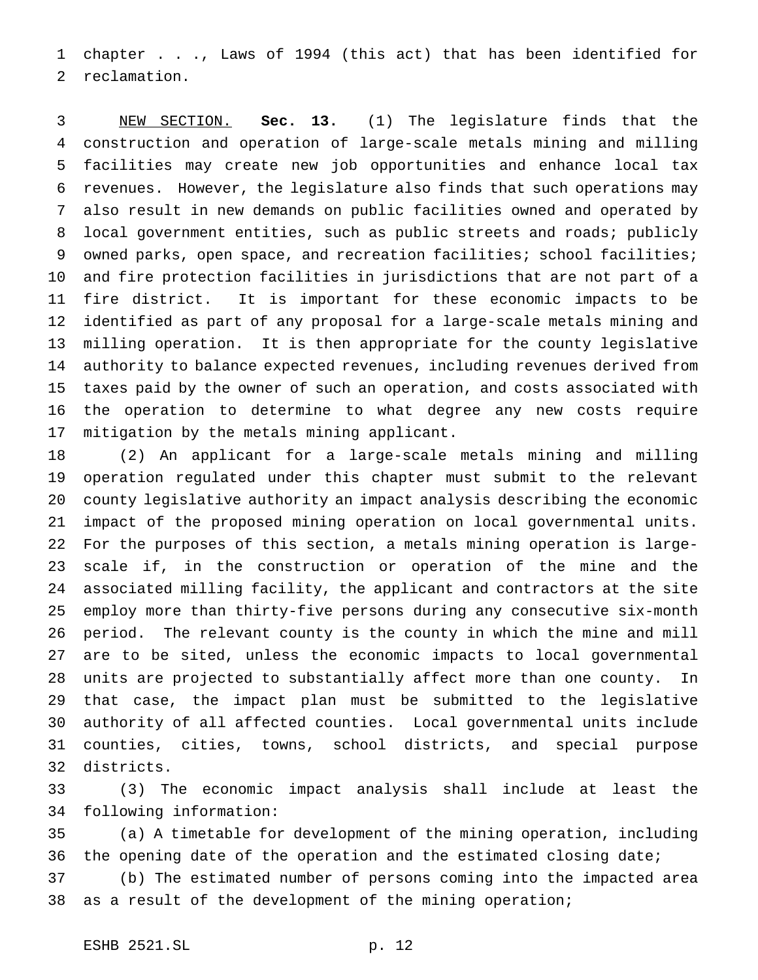chapter . . ., Laws of 1994 (this act) that has been identified for reclamation.

 NEW SECTION. **Sec. 13.** (1) The legislature finds that the construction and operation of large-scale metals mining and milling facilities may create new job opportunities and enhance local tax revenues. However, the legislature also finds that such operations may also result in new demands on public facilities owned and operated by local government entities, such as public streets and roads; publicly 9 owned parks, open space, and recreation facilities; school facilities; and fire protection facilities in jurisdictions that are not part of a fire district. It is important for these economic impacts to be identified as part of any proposal for a large-scale metals mining and milling operation. It is then appropriate for the county legislative authority to balance expected revenues, including revenues derived from taxes paid by the owner of such an operation, and costs associated with the operation to determine to what degree any new costs require mitigation by the metals mining applicant.

 (2) An applicant for a large-scale metals mining and milling operation regulated under this chapter must submit to the relevant county legislative authority an impact analysis describing the economic impact of the proposed mining operation on local governmental units. For the purposes of this section, a metals mining operation is large- scale if, in the construction or operation of the mine and the associated milling facility, the applicant and contractors at the site employ more than thirty-five persons during any consecutive six-month period. The relevant county is the county in which the mine and mill are to be sited, unless the economic impacts to local governmental units are projected to substantially affect more than one county. In that case, the impact plan must be submitted to the legislative authority of all affected counties. Local governmental units include counties, cities, towns, school districts, and special purpose districts.

 (3) The economic impact analysis shall include at least the following information:

 (a) A timetable for development of the mining operation, including 36 the opening date of the operation and the estimated closing date;

 (b) The estimated number of persons coming into the impacted area as a result of the development of the mining operation;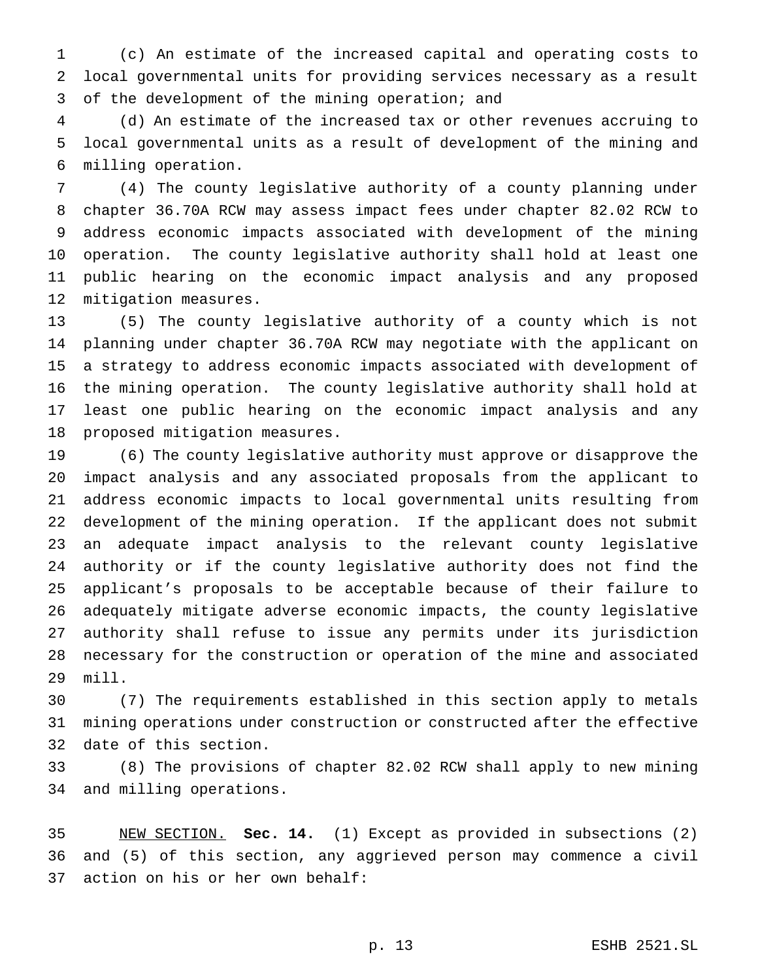(c) An estimate of the increased capital and operating costs to local governmental units for providing services necessary as a result of the development of the mining operation; and

 (d) An estimate of the increased tax or other revenues accruing to local governmental units as a result of development of the mining and milling operation.

 (4) The county legislative authority of a county planning under chapter 36.70A RCW may assess impact fees under chapter 82.02 RCW to address economic impacts associated with development of the mining operation. The county legislative authority shall hold at least one public hearing on the economic impact analysis and any proposed mitigation measures.

 (5) The county legislative authority of a county which is not planning under chapter 36.70A RCW may negotiate with the applicant on a strategy to address economic impacts associated with development of the mining operation. The county legislative authority shall hold at least one public hearing on the economic impact analysis and any proposed mitigation measures.

 (6) The county legislative authority must approve or disapprove the impact analysis and any associated proposals from the applicant to address economic impacts to local governmental units resulting from development of the mining operation. If the applicant does not submit an adequate impact analysis to the relevant county legislative authority or if the county legislative authority does not find the applicant's proposals to be acceptable because of their failure to adequately mitigate adverse economic impacts, the county legislative authority shall refuse to issue any permits under its jurisdiction necessary for the construction or operation of the mine and associated mill.

 (7) The requirements established in this section apply to metals mining operations under construction or constructed after the effective date of this section.

 (8) The provisions of chapter 82.02 RCW shall apply to new mining and milling operations.

 NEW SECTION. **Sec. 14.** (1) Except as provided in subsections (2) and (5) of this section, any aggrieved person may commence a civil action on his or her own behalf: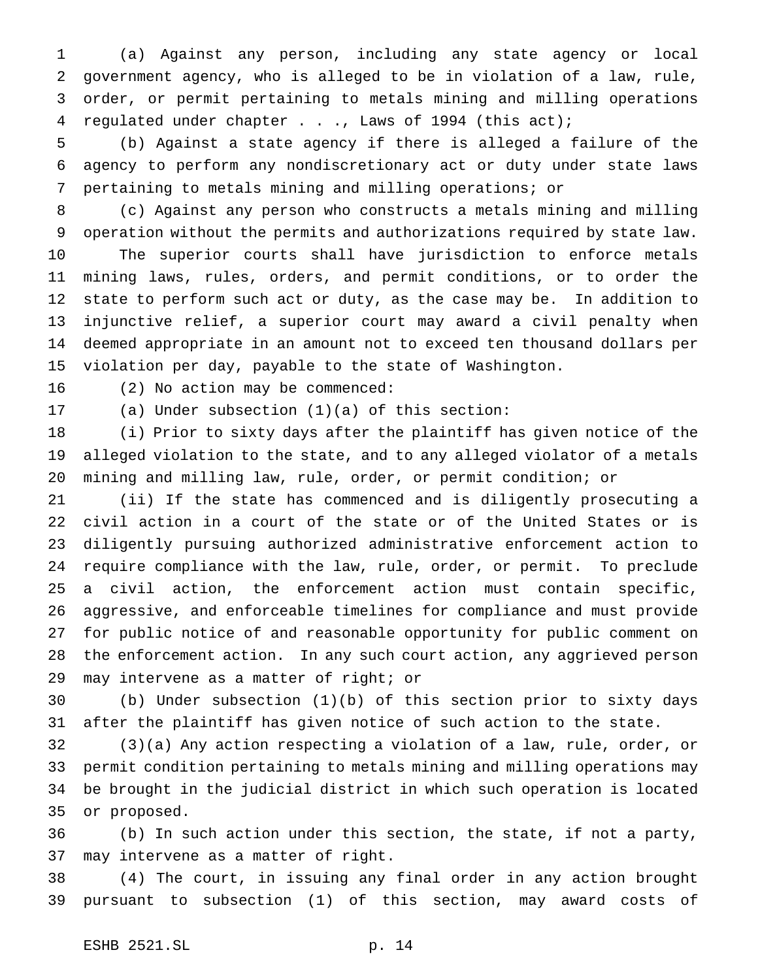(a) Against any person, including any state agency or local government agency, who is alleged to be in violation of a law, rule, order, or permit pertaining to metals mining and milling operations regulated under chapter . . ., Laws of 1994 (this act);

 (b) Against a state agency if there is alleged a failure of the agency to perform any nondiscretionary act or duty under state laws pertaining to metals mining and milling operations; or

 (c) Against any person who constructs a metals mining and milling operation without the permits and authorizations required by state law. The superior courts shall have jurisdiction to enforce metals mining laws, rules, orders, and permit conditions, or to order the state to perform such act or duty, as the case may be. In addition to injunctive relief, a superior court may award a civil penalty when deemed appropriate in an amount not to exceed ten thousand dollars per violation per day, payable to the state of Washington.

(2) No action may be commenced:

(a) Under subsection (1)(a) of this section:

 (i) Prior to sixty days after the plaintiff has given notice of the alleged violation to the state, and to any alleged violator of a metals mining and milling law, rule, order, or permit condition; or

 (ii) If the state has commenced and is diligently prosecuting a civil action in a court of the state or of the United States or is diligently pursuing authorized administrative enforcement action to require compliance with the law, rule, order, or permit. To preclude a civil action, the enforcement action must contain specific, aggressive, and enforceable timelines for compliance and must provide for public notice of and reasonable opportunity for public comment on the enforcement action. In any such court action, any aggrieved person may intervene as a matter of right; or

 (b) Under subsection (1)(b) of this section prior to sixty days after the plaintiff has given notice of such action to the state.

 (3)(a) Any action respecting a violation of a law, rule, order, or permit condition pertaining to metals mining and milling operations may be brought in the judicial district in which such operation is located or proposed.

 (b) In such action under this section, the state, if not a party, may intervene as a matter of right.

 (4) The court, in issuing any final order in any action brought pursuant to subsection (1) of this section, may award costs of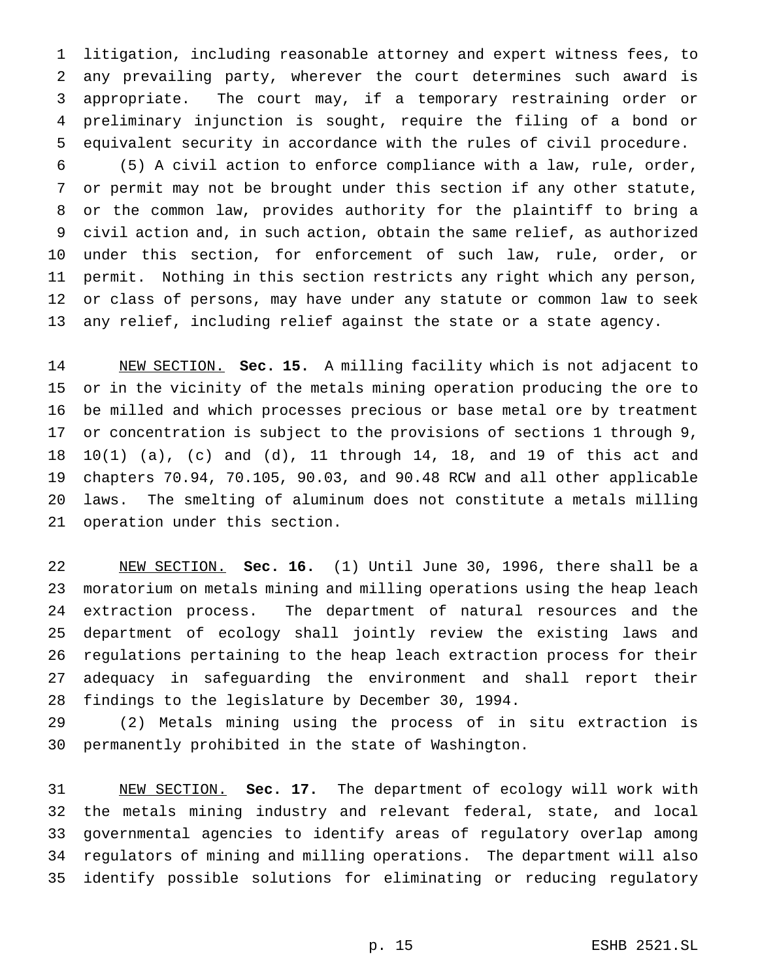litigation, including reasonable attorney and expert witness fees, to any prevailing party, wherever the court determines such award is appropriate. The court may, if a temporary restraining order or preliminary injunction is sought, require the filing of a bond or equivalent security in accordance with the rules of civil procedure.

 (5) A civil action to enforce compliance with a law, rule, order, or permit may not be brought under this section if any other statute, or the common law, provides authority for the plaintiff to bring a civil action and, in such action, obtain the same relief, as authorized under this section, for enforcement of such law, rule, order, or permit. Nothing in this section restricts any right which any person, or class of persons, may have under any statute or common law to seek any relief, including relief against the state or a state agency.

 NEW SECTION. **Sec. 15.** A milling facility which is not adjacent to or in the vicinity of the metals mining operation producing the ore to be milled and which processes precious or base metal ore by treatment or concentration is subject to the provisions of sections 1 through 9, 10(1) (a), (c) and (d), 11 through 14, 18, and 19 of this act and chapters 70.94, 70.105, 90.03, and 90.48 RCW and all other applicable laws. The smelting of aluminum does not constitute a metals milling operation under this section.

 NEW SECTION. **Sec. 16.** (1) Until June 30, 1996, there shall be a moratorium on metals mining and milling operations using the heap leach extraction process. The department of natural resources and the department of ecology shall jointly review the existing laws and regulations pertaining to the heap leach extraction process for their adequacy in safeguarding the environment and shall report their findings to the legislature by December 30, 1994.

 (2) Metals mining using the process of in situ extraction is permanently prohibited in the state of Washington.

 NEW SECTION. **Sec. 17.** The department of ecology will work with the metals mining industry and relevant federal, state, and local governmental agencies to identify areas of regulatory overlap among regulators of mining and milling operations. The department will also identify possible solutions for eliminating or reducing regulatory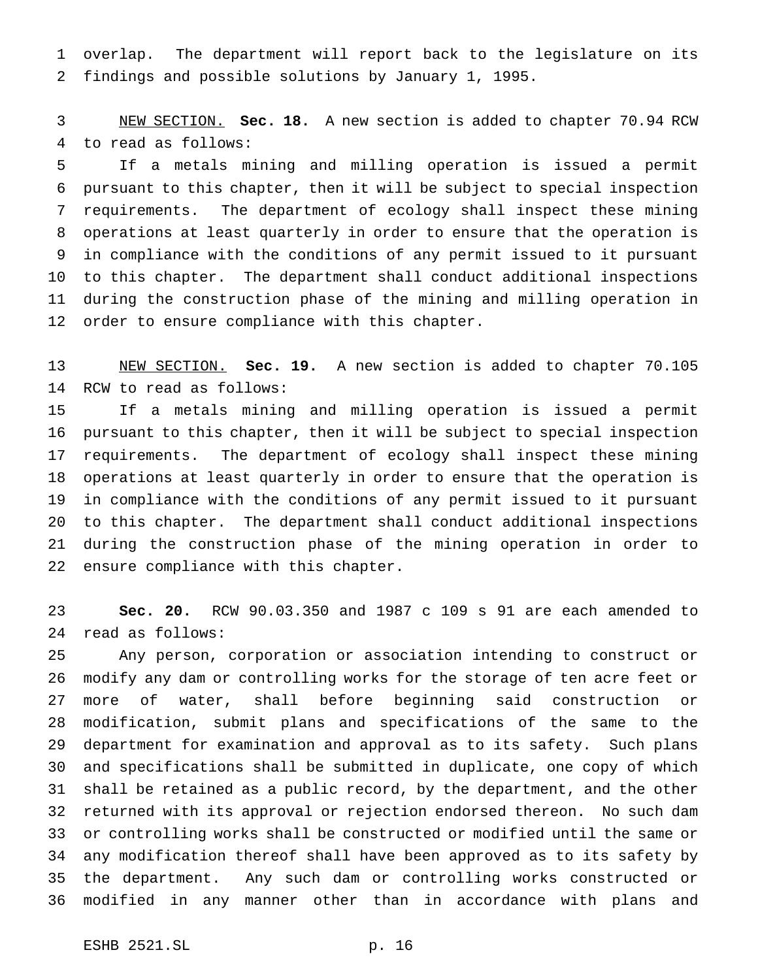overlap. The department will report back to the legislature on its findings and possible solutions by January 1, 1995.

 NEW SECTION. **Sec. 18.** A new section is added to chapter 70.94 RCW to read as follows:

 If a metals mining and milling operation is issued a permit pursuant to this chapter, then it will be subject to special inspection requirements. The department of ecology shall inspect these mining operations at least quarterly in order to ensure that the operation is in compliance with the conditions of any permit issued to it pursuant to this chapter. The department shall conduct additional inspections during the construction phase of the mining and milling operation in order to ensure compliance with this chapter.

 NEW SECTION. **Sec. 19.** A new section is added to chapter 70.105 RCW to read as follows:

 If a metals mining and milling operation is issued a permit pursuant to this chapter, then it will be subject to special inspection requirements. The department of ecology shall inspect these mining operations at least quarterly in order to ensure that the operation is in compliance with the conditions of any permit issued to it pursuant to this chapter. The department shall conduct additional inspections during the construction phase of the mining operation in order to ensure compliance with this chapter.

 **Sec. 20.** RCW 90.03.350 and 1987 c 109 s 91 are each amended to read as follows:

 Any person, corporation or association intending to construct or modify any dam or controlling works for the storage of ten acre feet or more of water, shall before beginning said construction or modification, submit plans and specifications of the same to the department for examination and approval as to its safety. Such plans and specifications shall be submitted in duplicate, one copy of which shall be retained as a public record, by the department, and the other returned with its approval or rejection endorsed thereon. No such dam or controlling works shall be constructed or modified until the same or any modification thereof shall have been approved as to its safety by the department. Any such dam or controlling works constructed or modified in any manner other than in accordance with plans and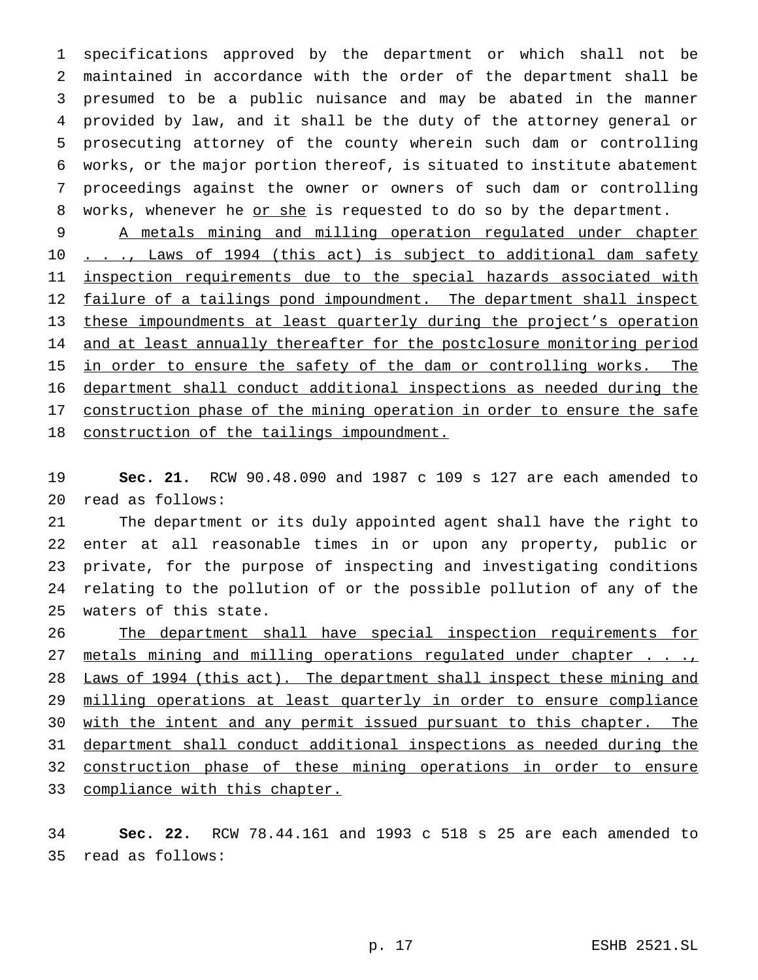specifications approved by the department or which shall not be maintained in accordance with the order of the department shall be presumed to be a public nuisance and may be abated in the manner provided by law, and it shall be the duty of the attorney general or prosecuting attorney of the county wherein such dam or controlling works, or the major portion thereof, is situated to institute abatement proceedings against the owner or owners of such dam or controlling 8 works, whenever he or she is requested to do so by the department.

 A metals mining and milling operation regulated under chapter 10 . . ., Laws of 1994 (this act) is subject to additional dam safety 11 inspection requirements due to the special hazards associated with 12 failure of a tailings pond impoundment. The department shall inspect these impoundments at least quarterly during the project's operation 14 and at least annually thereafter for the postclosure monitoring period 15 in order to ensure the safety of the dam or controlling works. The department shall conduct additional inspections as needed during the 17 construction phase of the mining operation in order to ensure the safe 18 construction of the tailings impoundment.

 **Sec. 21.** RCW 90.48.090 and 1987 c 109 s 127 are each amended to read as follows:

 The department or its duly appointed agent shall have the right to enter at all reasonable times in or upon any property, public or private, for the purpose of inspecting and investigating conditions relating to the pollution of or the possible pollution of any of the waters of this state.

 The department shall have special inspection requirements for 27 metals mining and milling operations regulated under chapter . . ., 28 Laws of 1994 (this act). The department shall inspect these mining and 29 milling operations at least quarterly in order to ensure compliance 30 with the intent and any permit issued pursuant to this chapter. The department shall conduct additional inspections as needed during the construction phase of these mining operations in order to ensure 33 compliance with this chapter.

 **Sec. 22.** RCW 78.44.161 and 1993 c 518 s 25 are each amended to read as follows: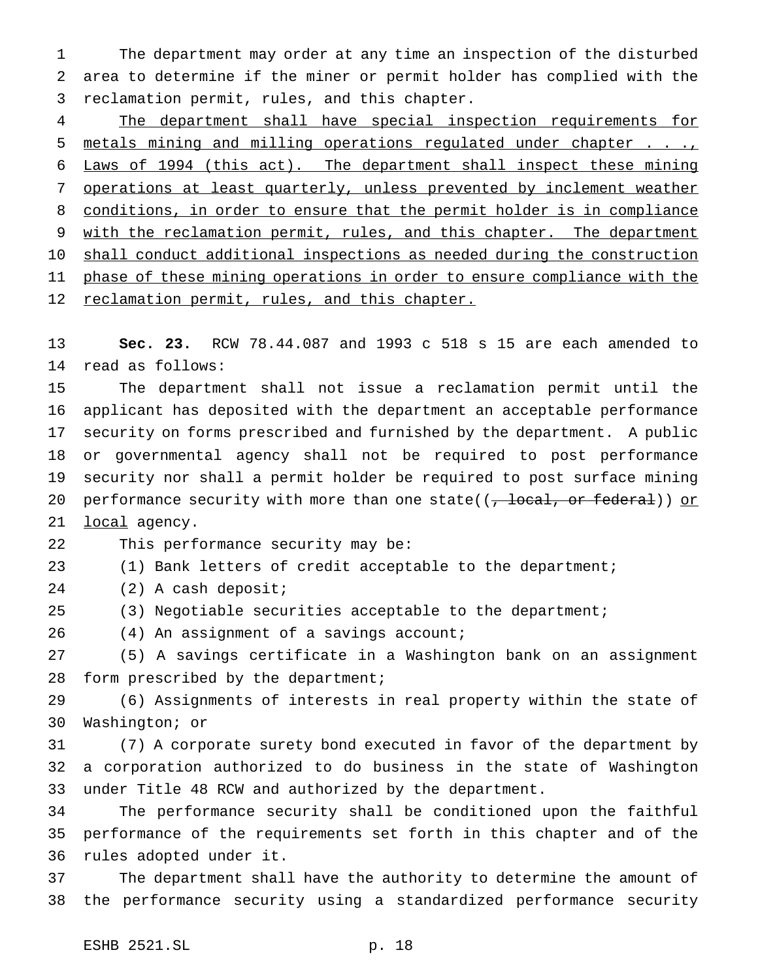The department may order at any time an inspection of the disturbed area to determine if the miner or permit holder has complied with the reclamation permit, rules, and this chapter.

 The department shall have special inspection requirements for 5 metals mining and milling operations regulated under chapter . . ., Laws of 1994 (this act). The department shall inspect these mining operations at least quarterly, unless prevented by inclement weather conditions, in order to ensure that the permit holder is in compliance 9 with the reclamation permit, rules, and this chapter. The department 10 shall conduct additional inspections as needed during the construction 11 phase of these mining operations in order to ensure compliance with the reclamation permit, rules, and this chapter.

 **Sec. 23.** RCW 78.44.087 and 1993 c 518 s 15 are each amended to read as follows:

 The department shall not issue a reclamation permit until the applicant has deposited with the department an acceptable performance security on forms prescribed and furnished by the department. A public or governmental agency shall not be required to post performance security nor shall a permit holder be required to post surface mining 20 performance security with more than one state( $(\frac{\pi}{2})$  or federal)) or 21 local agency.

This performance security may be:

(1) Bank letters of credit acceptable to the department;

(2) A cash deposit;

(3) Negotiable securities acceptable to the department;

26 (4) An assignment of a savings account;

 (5) A savings certificate in a Washington bank on an assignment 28 form prescribed by the department;

 (6) Assignments of interests in real property within the state of Washington; or

 (7) A corporate surety bond executed in favor of the department by a corporation authorized to do business in the state of Washington under Title 48 RCW and authorized by the department.

 The performance security shall be conditioned upon the faithful performance of the requirements set forth in this chapter and of the rules adopted under it.

 The department shall have the authority to determine the amount of the performance security using a standardized performance security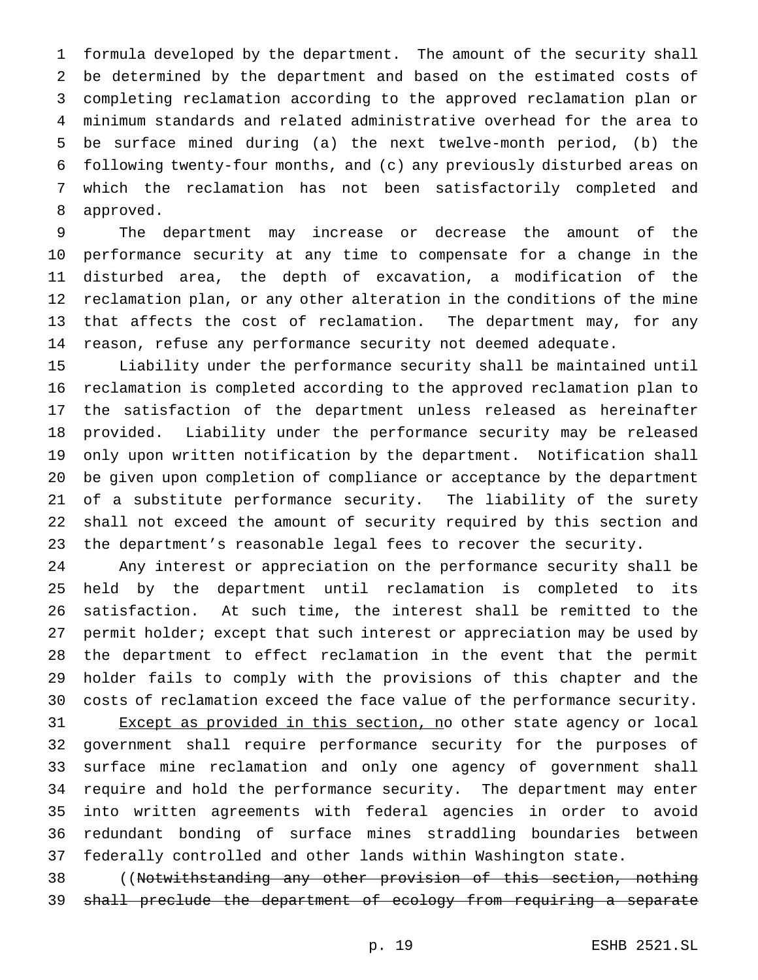formula developed by the department. The amount of the security shall be determined by the department and based on the estimated costs of completing reclamation according to the approved reclamation plan or minimum standards and related administrative overhead for the area to be surface mined during (a) the next twelve-month period, (b) the following twenty-four months, and (c) any previously disturbed areas on which the reclamation has not been satisfactorily completed and approved.

 The department may increase or decrease the amount of the performance security at any time to compensate for a change in the disturbed area, the depth of excavation, a modification of the reclamation plan, or any other alteration in the conditions of the mine that affects the cost of reclamation. The department may, for any reason, refuse any performance security not deemed adequate.

 Liability under the performance security shall be maintained until reclamation is completed according to the approved reclamation plan to the satisfaction of the department unless released as hereinafter provided. Liability under the performance security may be released only upon written notification by the department. Notification shall be given upon completion of compliance or acceptance by the department of a substitute performance security. The liability of the surety shall not exceed the amount of security required by this section and the department's reasonable legal fees to recover the security.

 Any interest or appreciation on the performance security shall be held by the department until reclamation is completed to its satisfaction. At such time, the interest shall be remitted to the 27 permit holder; except that such interest or appreciation may be used by the department to effect reclamation in the event that the permit holder fails to comply with the provisions of this chapter and the costs of reclamation exceed the face value of the performance security.

31 Except as provided in this section, no other state agency or local government shall require performance security for the purposes of surface mine reclamation and only one agency of government shall require and hold the performance security. The department may enter into written agreements with federal agencies in order to avoid redundant bonding of surface mines straddling boundaries between federally controlled and other lands within Washington state.

 ((Notwithstanding any other provision of this section, nothing shall preclude the department of ecology from requiring a separate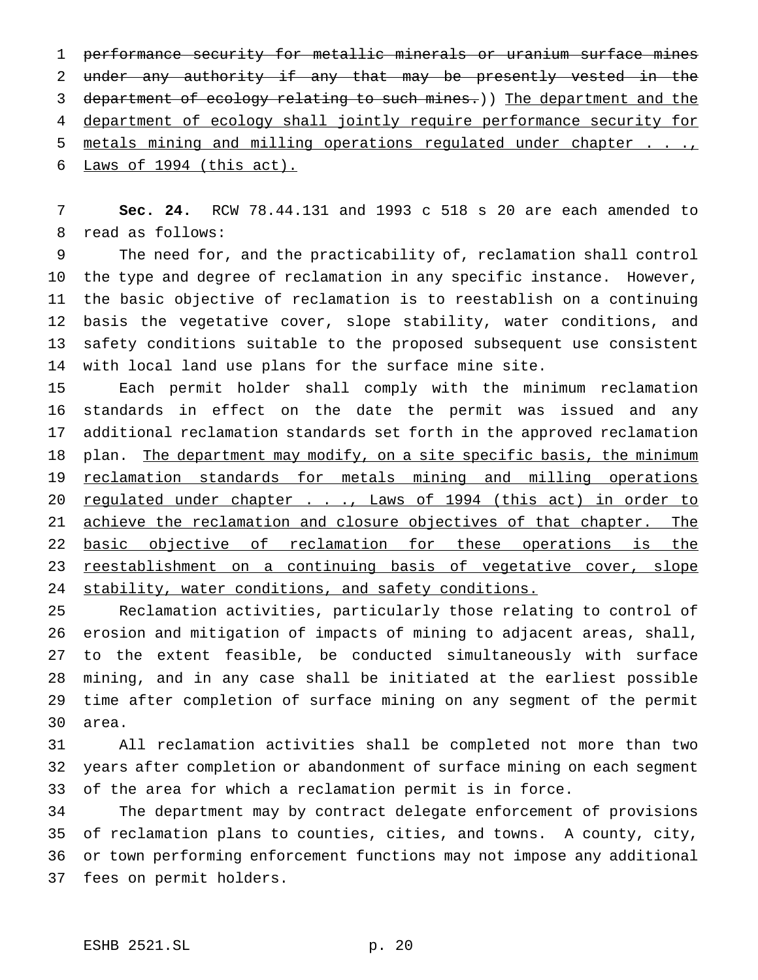performance security for metallic minerals or uranium surface mines under any authority if any that may be presently vested in the 3 department of ecology relating to such mines.)) The department and the department of ecology shall jointly require performance security for 5 metals mining and milling operations regulated under chapter . . . Laws of 1994 (this act).

 **Sec. 24.** RCW 78.44.131 and 1993 c 518 s 20 are each amended to read as follows:

 The need for, and the practicability of, reclamation shall control the type and degree of reclamation in any specific instance. However, the basic objective of reclamation is to reestablish on a continuing basis the vegetative cover, slope stability, water conditions, and safety conditions suitable to the proposed subsequent use consistent with local land use plans for the surface mine site.

 Each permit holder shall comply with the minimum reclamation standards in effect on the date the permit was issued and any additional reclamation standards set forth in the approved reclamation 18 plan. The department may modify, on a site specific basis, the minimum 19 reclamation standards for metals mining and milling operations 20 regulated under chapter . . ., Laws of 1994 (this act) in order to 21 achieve the reclamation and closure objectives of that chapter. The basic objective of reclamation for these operations is the reestablishment on a continuing basis of vegetative cover, slope 24 stability, water conditions, and safety conditions.

 Reclamation activities, particularly those relating to control of erosion and mitigation of impacts of mining to adjacent areas, shall, to the extent feasible, be conducted simultaneously with surface mining, and in any case shall be initiated at the earliest possible time after completion of surface mining on any segment of the permit area.

 All reclamation activities shall be completed not more than two years after completion or abandonment of surface mining on each segment of the area for which a reclamation permit is in force.

 The department may by contract delegate enforcement of provisions of reclamation plans to counties, cities, and towns. A county, city, or town performing enforcement functions may not impose any additional fees on permit holders.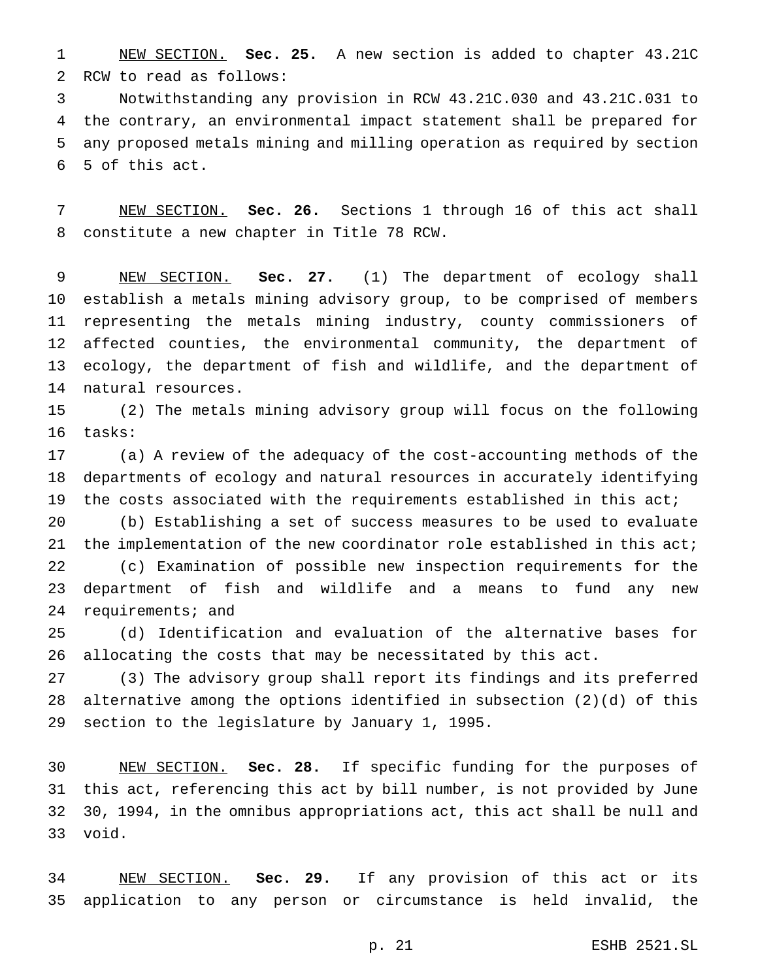NEW SECTION. **Sec. 25.** A new section is added to chapter 43.21C RCW to read as follows:

 Notwithstanding any provision in RCW 43.21C.030 and 43.21C.031 to the contrary, an environmental impact statement shall be prepared for any proposed metals mining and milling operation as required by section 5 of this act.

 NEW SECTION. **Sec. 26.** Sections 1 through 16 of this act shall constitute a new chapter in Title 78 RCW.

 NEW SECTION. **Sec. 27.** (1) The department of ecology shall establish a metals mining advisory group, to be comprised of members representing the metals mining industry, county commissioners of affected counties, the environmental community, the department of ecology, the department of fish and wildlife, and the department of natural resources.

 (2) The metals mining advisory group will focus on the following tasks:

 (a) A review of the adequacy of the cost-accounting methods of the departments of ecology and natural resources in accurately identifying the costs associated with the requirements established in this act;

 (b) Establishing a set of success measures to be used to evaluate 21 the implementation of the new coordinator role established in this act; (c) Examination of possible new inspection requirements for the department of fish and wildlife and a means to fund any new requirements; and

 (d) Identification and evaluation of the alternative bases for allocating the costs that may be necessitated by this act.

 (3) The advisory group shall report its findings and its preferred alternative among the options identified in subsection (2)(d) of this section to the legislature by January 1, 1995.

 NEW SECTION. **Sec. 28.** If specific funding for the purposes of this act, referencing this act by bill number, is not provided by June 30, 1994, in the omnibus appropriations act, this act shall be null and void.

 NEW SECTION. **Sec. 29.** If any provision of this act or its application to any person or circumstance is held invalid, the